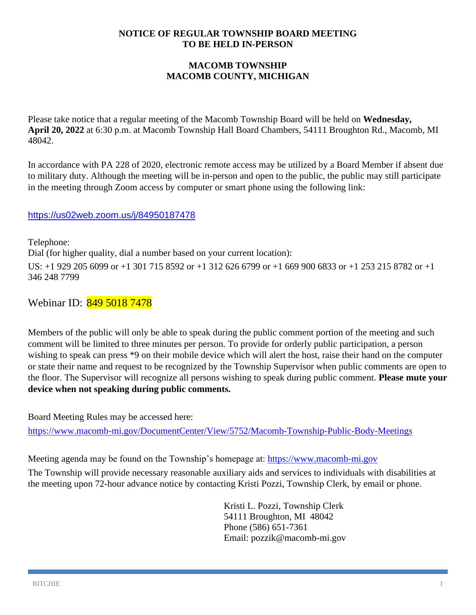#### **NOTICE OF REGULAR TOWNSHIP BOARD MEETING TO BE HELD IN-PERSON**

### **MACOMB TOWNSHIP MACOMB COUNTY, MICHIGAN**

Please take notice that a regular meeting of the Macomb Township Board will be held on **Wednesday, April 20, 2022** at 6:30 p.m. at Macomb Township Hall Board Chambers, 54111 Broughton Rd., Macomb, MI 48042.

In accordance with PA 228 of 2020, electronic remote access may be utilized by a Board Member if absent due to military duty. Although the meeting will be in-person and open to the public, the public may still participate in the meeting through Zoom access by computer or smart phone using the following link:

#### <https://us02web.zoom.us/j/84950187478>

Telephone: Dial (for higher quality, dial a number based on your current location): US: +1 929 205 6099 or +1 301 715 8592 or +1 312 626 6799 or +1 669 900 6833 or +1 253 215 8782 or +1 346 248 7799

Webinar ID: 849 5018 7478

Members of the public will only be able to speak during the public comment portion of the meeting and such comment will be limited to three minutes per person. To provide for orderly public participation, a person wishing to speak can press \*9 on their mobile device which will alert the host, raise their hand on the computer or state their name and request to be recognized by the Township Supervisor when public comments are open to the floor. The Supervisor will recognize all persons wishing to speak during public comment. **Please mute your device when not speaking during public comments.**

Board Meeting Rules may be accessed here:

<https://www.macomb-mi.gov/DocumentCenter/View/5752/Macomb-Township-Public-Body-Meetings>

Meeting agenda may be found on the Township's homepage at: [https://www.macomb-mi.gov](https://www.macomb-mi.gov/)

The Township will provide necessary reasonable auxiliary aids and services to individuals with disabilities at the meeting upon 72-hour advance notice by contacting Kristi Pozzi, Township Clerk, by email or phone.

> Kristi L. Pozzi, Township Clerk 54111 Broughton, MI 48042 Phone (586) 651-7361 Email: pozzik@macomb-mi.gov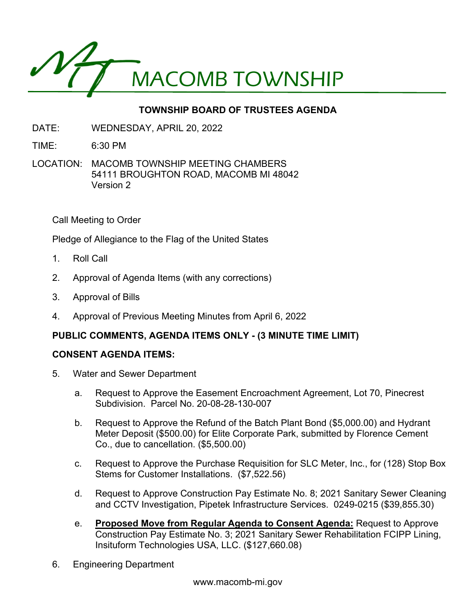

# **TOWNSHIP BOARD OF TRUSTEES AGENDA**

- DATE: WEDNESDAY, APRIL 20, 2022
- TIME: 6:30 PM
- LOCATION: MACOMB TOWNSHIP MEETING CHAMBERS 54111 BROUGHTON ROAD, MACOMB MI 48042 Version 2

Call Meeting to Order

Pledge of Allegiance to the Flag of the United States

- 1. Roll Call
- 2. Approval of Agenda Items (with any corrections)
- 3. Approval of Bills
- 4. Approval of Previous Meeting Minutes from April 6, 2022

#### **PUBLIC COMMENTS, AGENDA ITEMS ONLY - (3 MINUTE TIME LIMIT)**

#### **CONSENT AGENDA ITEMS:**

- 5. Water and Sewer Department
	- a. Request to Approve the Easement Encroachment Agreement, Lot 70, Pinecrest Subdivision. Parcel No. 20-08-28-130-007
	- b. Request to Approve the Refund of the Batch Plant Bond (\$5,000.00) and Hydrant Meter Deposit (\$500.00) for Elite Corporate Park, submitted by Florence Cement Co., due to cancellation. (\$5,500.00)
	- c. Request to Approve the Purchase Requisition for SLC Meter, Inc., for (128) Stop Box Stems for Customer Installations. (\$7,522.56)
	- d. Request to Approve Construction Pay Estimate No. 8; 2021 Sanitary Sewer Cleaning and CCTV Investigation, Pipetek Infrastructure Services. 0249-0215 (\$39,855.30)
	- e. **Proposed Move from Regular Agenda to Consent Agenda:** Request to Approve Construction Pay Estimate No. 3; 2021 Sanitary Sewer Rehabilitation FCIPP Lining, Insituform Technologies USA, LLC. (\$127,660.08)
- 6. Engineering Department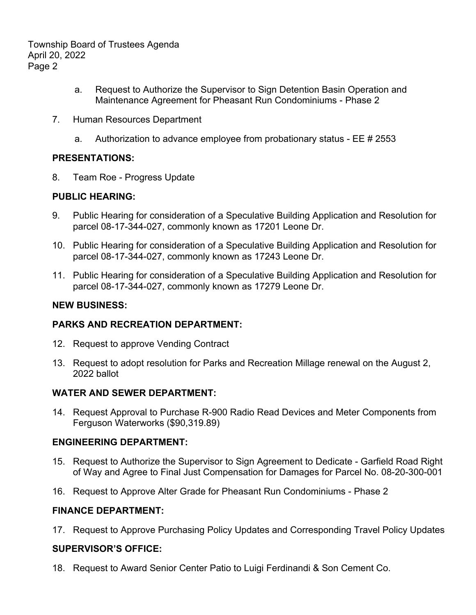Township Board of Trustees Agenda April 20, 2022 Page 2

- a. Request to Authorize the Supervisor to Sign Detention Basin Operation and Maintenance Agreement for Pheasant Run Condominiums - Phase 2
- 7. Human Resources Department
	- a. Authorization to advance employee from probationary status EE # 2553

### **PRESENTATIONS:**

8. Team Roe - Progress Update

### **PUBLIC HEARING:**

- 9. Public Hearing for consideration of a Speculative Building Application and Resolution for parcel 08-17-344-027, commonly known as 17201 Leone Dr.
- 10. Public Hearing for consideration of a Speculative Building Application and Resolution for parcel 08-17-344-027, commonly known as 17243 Leone Dr.
- 11. Public Hearing for consideration of a Speculative Building Application and Resolution for parcel 08-17-344-027, commonly known as 17279 Leone Dr.

### **NEW BUSINESS:**

## **PARKS AND RECREATION DEPARTMENT:**

- 12. Request to approve Vending Contract
- 13. Request to adopt resolution for Parks and Recreation Millage renewal on the August 2, 2022 ballot

## **WATER AND SEWER DEPARTMENT:**

14. Request Approval to Purchase R-900 Radio Read Devices and Meter Components from Ferguson Waterworks (\$90,319.89)

## **ENGINEERING DEPARTMENT:**

- 15. Request to Authorize the Supervisor to Sign Agreement to Dedicate Garfield Road Right of Way and Agree to Final Just Compensation for Damages for Parcel No. 08-20-300-001
- 16. Request to Approve Alter Grade for Pheasant Run Condominiums Phase 2

#### **FINANCE DEPARTMENT:**

17. Request to Approve Purchasing Policy Updates and Corresponding Travel Policy Updates

#### **SUPERVISOR'S OFFICE:**

18. Request to Award Senior Center Patio to Luigi Ferdinandi & Son Cement Co.